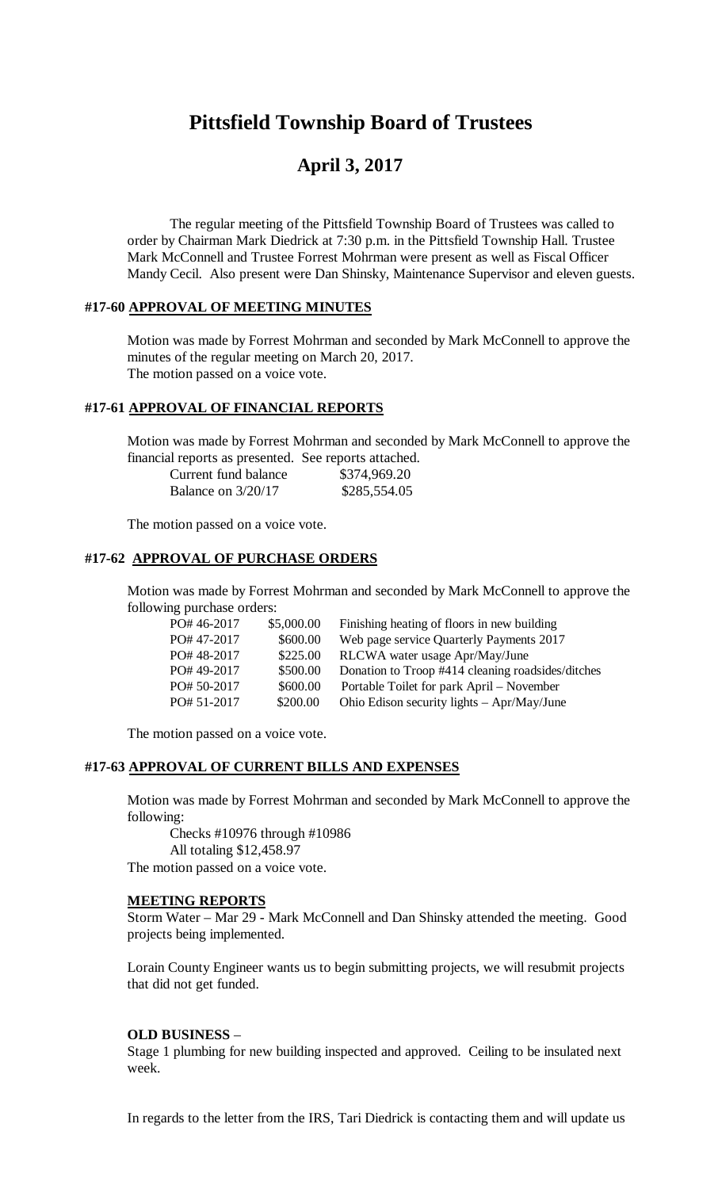# **Pittsfield Township Board of Trustees**

# **April 3, 2017**

The regular meeting of the Pittsfield Township Board of Trustees was called to order by Chairman Mark Diedrick at 7:30 p.m. in the Pittsfield Township Hall. Trustee Mark McConnell and Trustee Forrest Mohrman were present as well as Fiscal Officer Mandy Cecil. Also present were Dan Shinsky, Maintenance Supervisor and eleven guests.

### **#17-60 APPROVAL OF MEETING MINUTES**

Motion was made by Forrest Mohrman and seconded by Mark McConnell to approve the minutes of the regular meeting on March 20, 2017. The motion passed on a voice vote.

### **#17-61 APPROVAL OF FINANCIAL REPORTS**

Motion was made by Forrest Mohrman and seconded by Mark McConnell to approve the financial reports as presented. See reports attached.

| Current fund balance | \$374,969.20 |
|----------------------|--------------|
| Balance on $3/20/17$ | \$285,554.05 |

The motion passed on a voice vote.

### **#17-62 APPROVAL OF PURCHASE ORDERS**

Motion was made by Forrest Mohrman and seconded by Mark McConnell to approve the following purchase orders:

| PO# 46-2017 | \$5,000.00 | Finishing heating of floors in new building       |
|-------------|------------|---------------------------------------------------|
| PO#47-2017  | \$600.00   | Web page service Quarterly Payments 2017          |
| PO#48-2017  | \$225.00   | RLCWA water usage Apr/May/June                    |
| PO#49-2017  | \$500.00   | Donation to Troop #414 cleaning roadsides/ditches |
| PO# 50-2017 | \$600.00   | Portable Toilet for park April – November         |
| PO# 51-2017 | \$200.00   | Ohio Edison security lights - Apr/May/June        |

The motion passed on a voice vote.

#### **#17-63 APPROVAL OF CURRENT BILLS AND EXPENSES**

Motion was made by Forrest Mohrman and seconded by Mark McConnell to approve the following:

Checks #10976 through #10986 All totaling \$12,458.97 The motion passed on a voice vote.

#### **MEETING REPORTS**

Storm Water – Mar 29 - Mark McConnell and Dan Shinsky attended the meeting. Good projects being implemented.

Lorain County Engineer wants us to begin submitting projects, we will resubmit projects that did not get funded.

#### **OLD BUSINESS** –

Stage 1 plumbing for new building inspected and approved. Ceiling to be insulated next week.

In regards to the letter from the IRS, Tari Diedrick is contacting them and will update us